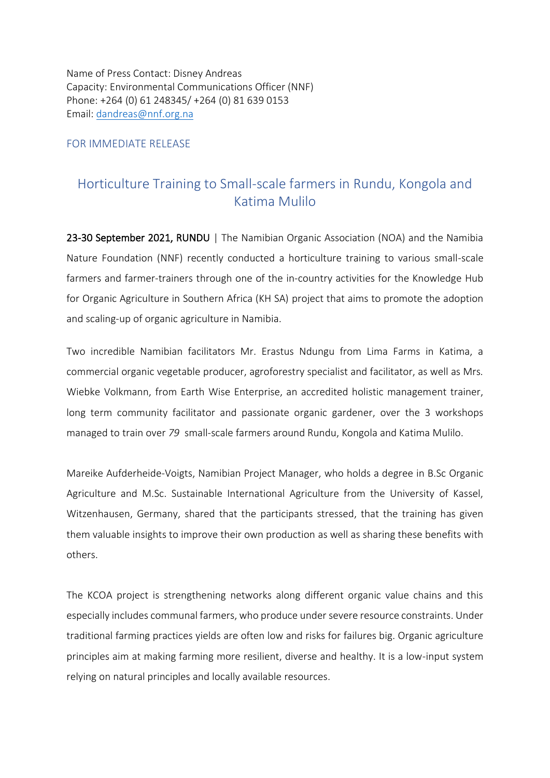Name of Press Contact: Disney Andreas Capacity: Environmental Communications Officer (NNF) Phone: +264 (0) 61 248345/ +264 (0) 81 639 0153 Email: [dandreas@nnf.org.na](mailto:dandreas@nnf.org.na)

## FOR IMMEDIATE RELEASE

## Horticulture Training to Small-scale farmers in Rundu, Kongola and Katima Mulilo

23-30 September 2021, RUNDU | The Namibian Organic Association (NOA) and the Namibia Nature Foundation (NNF) recently conducted a horticulture training to various small-scale farmers and farmer-trainers through one of the in-country activities for the Knowledge Hub for Organic Agriculture in Southern Africa (KH SA) project that aims to promote the adoption and scaling-up of organic agriculture in Namibia.

Two incredible Namibian facilitators Mr. Erastus Ndungu from Lima Farms in Katima, a commercial organic vegetable producer, agroforestry specialist and facilitator, as well as Mrs. Wiebke Volkmann, from Earth Wise Enterprise, an accredited holistic management trainer, long term community facilitator and passionate organic gardener, over the 3 workshops managed to train over *79* small-scale farmers around Rundu, Kongola and Katima Mulilo.

Mareike Aufderheide-Voigts, Namibian Project Manager, who holds a degree in B.Sc Organic Agriculture and M.Sc. Sustainable International Agriculture from the University of Kassel, Witzenhausen, Germany, shared that the participants stressed, that the training has given them valuable insights to improve their own production as well as sharing these benefits with others.

The KCOA project is strengthening networks along different organic value chains and this especially includes communal farmers, who produce under severe resource constraints. Under traditional farming practices yields are often low and risks for failures big. Organic agriculture principles aim at making farming more resilient, diverse and healthy. It is a low-input system relying on natural principles and locally available resources.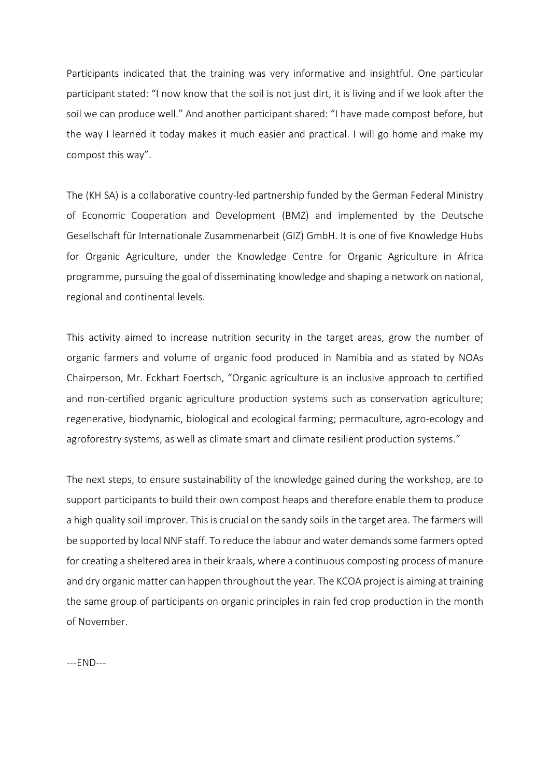Participants indicated that the training was very informative and insightful. One particular participant stated: "I now know that the soil is not just dirt, it is living and if we look after the soil we can produce well." And another participant shared: "I have made compost before, but the way I learned it today makes it much easier and practical. I will go home and make my compost this way".

The (KH SA) is a collaborative country-led partnership funded by the German Federal Ministry of Economic Cooperation and Development (BMZ) and implemented by the Deutsche Gesellschaft für Internationale Zusammenarbeit (GIZ) GmbH. It is one of five Knowledge Hubs for Organic Agriculture, under the Knowledge Centre for Organic Agriculture in Africa programme, pursuing the goal of disseminating knowledge and shaping a network on national, regional and continental levels.

This activity aimed to increase nutrition security in the target areas, grow the number of organic farmers and volume of organic food produced in Namibia and as stated by NOAs Chairperson, Mr. Eckhart Foertsch, "Organic agriculture is an inclusive approach to certified and non-certified organic agriculture production systems such as conservation agriculture; regenerative, biodynamic, biological and ecological farming; permaculture, agro-ecology and agroforestry systems, as well as climate smart and climate resilient production systems."

The next steps, to ensure sustainability of the knowledge gained during the workshop, are to support participants to build their own compost heaps and therefore enable them to produce a high quality soil improver. This is crucial on the sandy soils in the target area. The farmers will be supported by local NNF staff. To reduce the labour and water demands some farmers opted for creating a sheltered area in their kraals, where a continuous composting process of manure and dry organic matter can happen throughout the year. The KCOA project is aiming at training the same group of participants on organic principles in rain fed crop production in the month of November.

---END---